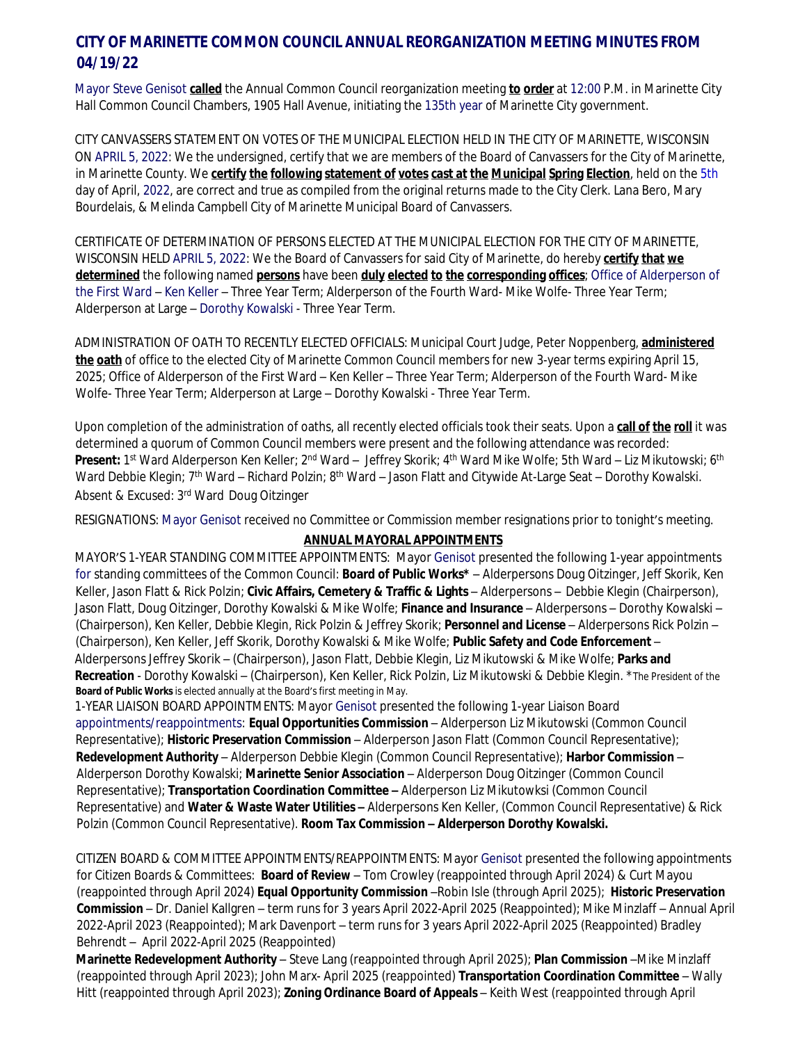# **CITY OF MARINETTE COMMON COUNCIL ANNUAL REORGANIZATION MEETING MINUTES FROM 04/19/22**

Mayor Steve Genisot **called** the Annual Common Council reorganization meeting **to order** at 12:00 P.M. in Marinette City Hall Common Council Chambers, 1905 Hall Avenue, initiating the 135th year of Marinette City government.

CITY CANVASSERS STATEMENT ON VOTES OF THE MUNICIPAL ELECTION HELD IN THE CITY OF MARINETTE, WISCONSIN ON APRIL 5, 2022: We the undersigned, certify that we are members of the Board of Canvassers for the City of Marinette, in Marinette County. We **certify the following statement of votes cast at the Municipal Spring Election**, held on the 5th day of April, 2022, are correct and true as compiled from the original returns made to the City Clerk. Lana Bero, Mary Bourdelais, & Melinda Campbell City of Marinette Municipal Board of Canvassers.

CERTIFICATE OF DETERMINATION OF PERSONS ELECTED AT THE MUNICIPAL ELECTION FOR THE CITY OF MARINETTE, WISCONSIN HELD APRIL 5, 2022: We the Board of Canvassers for said City of Marinette, do hereby **certify that we determined** the following named **persons** have been **duly elected to the corresponding offices**; Office of Alderperson of the First Ward – Ken Keller – Three Year Term; Alderperson of the Fourth Ward- Mike Wolfe- Three Year Term; Alderperson at Large – Dorothy Kowalski - Three Year Term.

ADMINISTRATION OF OATH TO RECENTLY ELECTED OFFICIALS: Municipal Court Judge, Peter Noppenberg, **administered the oath** of office to the elected City of Marinette Common Council members for new 3-year terms expiring April 15, 2025; Office of Alderperson of the First Ward – Ken Keller – Three Year Term; Alderperson of the Fourth Ward- Mike Wolfe- Three Year Term; Alderperson at Large – Dorothy Kowalski - Three Year Term.

Upon completion of the administration of oaths, all recently elected officials took their seats. Upon a **call of the roll** it was determined a quorum of Common Council members were present and the following attendance was recorded: **Present:** 1<sup>st</sup> Ward Alderperson Ken Keller; 2<sup>nd</sup> Ward – Jeffrey Skorik; 4<sup>th</sup> Ward Mike Wolfe; 5th Ward – Liz Mikutowski; 6<sup>th</sup> Ward Debbie Klegin; 7<sup>th</sup> Ward – Richard Polzin; 8<sup>th</sup> Ward – Jason Flatt and Citywide At-Large Seat – Dorothy Kowalski. Absent & Excused: 3rd Ward Doug Oitzinger

RESIGNATIONS: Mayor Genisot received no Committee or Commission member resignations prior to tonight's meeting.

#### **ANNUAL MAYORAL APPOINTMENTS**

MAYOR'S 1-YEAR STANDING COMMITTEE APPOINTMENTS: Mayor Genisot presented the following 1-year appointments for standing committees of the Common Council: **Board of Public Works\*** – Alderpersons Doug Oitzinger, Jeff Skorik, Ken Keller, Jason Flatt & Rick Polzin; **Civic Affairs, Cemetery & Traffic & Lights** – Alderpersons – Debbie Klegin (Chairperson), Jason Flatt, Doug Oitzinger, Dorothy Kowalski & Mike Wolfe; **Finance and Insurance** – Alderpersons – Dorothy Kowalski – (Chairperson), Ken Keller, Debbie Klegin, Rick Polzin & Jeffrey Skorik; **Personnel and License** – Alderpersons Rick Polzin – (Chairperson), Ken Keller, Jeff Skorik, Dorothy Kowalski & Mike Wolfe; **Public Safety and Code Enforcement** – Alderpersons Jeffrey Skorik – (Chairperson), Jason Flatt, Debbie Klegin, Liz Mikutowski & Mike Wolfe; **Parks and Recreation** - Dorothy Kowalski – (Chairperson), Ken Keller, Rick Polzin, Liz Mikutowski & Debbie Klegin. \*The President of the **Board of Public Works** is elected annually at the Board's first meeting in May.

1-YEAR LIAISON BOARD APPOINTMENTS: Mayor Genisot presented the following 1-year Liaison Board appointments/reappointments: **Equal Opportunities Commission** – Alderperson Liz Mikutowski (Common Council Representative); **Historic Preservation Commission** – Alderperson Jason Flatt (Common Council Representative); **Redevelopment Authority** – Alderperson Debbie Klegin (Common Council Representative); **Harbor Commission** – Alderperson Dorothy Kowalski; **Marinette Senior Association** – Alderperson Doug Oitzinger (Common Council Representative); **Transportation Coordination Committee –** Alderperson Liz Mikutowksi (Common Council Representative) and **Water & Waste Water Utilities –** Alderpersons Ken Keller, (Common Council Representative) & Rick Polzin (Common Council Representative). **Room Tax Commission – Alderperson Dorothy Kowalski.** 

CITIZEN BOARD & COMMITTEE APPOINTMENTS/REAPPOINTMENTS: Mayor Genisot presented the following appointments for Citizen Boards & Committees: **Board of Review** – Tom Crowley (reappointed through April 2024) & Curt Mayou (reappointed through April 2024) **Equal Opportunity Commission** –Robin Isle (through April 2025); **Historic Preservation Commission** – Dr. Daniel Kallgren – term runs for 3 years April 2022-April 2025 (Reappointed); Mike Minzlaff – Annual April 2022-April 2023 (Reappointed); Mark Davenport – term runs for 3 years April 2022-April 2025 (Reappointed) Bradley Behrendt – April 2022-April 2025 (Reappointed)

**Marinette Redevelopment Authority** – Steve Lang (reappointed through April 2025); **Plan Commission** –Mike Minzlaff (reappointed through April 2023); John Marx- April 2025 (reappointed) **Transportation Coordination Committee** – Wally Hitt (reappointed through April 2023); **Zoning Ordinance Board of Appeals** – Keith West (reappointed through April